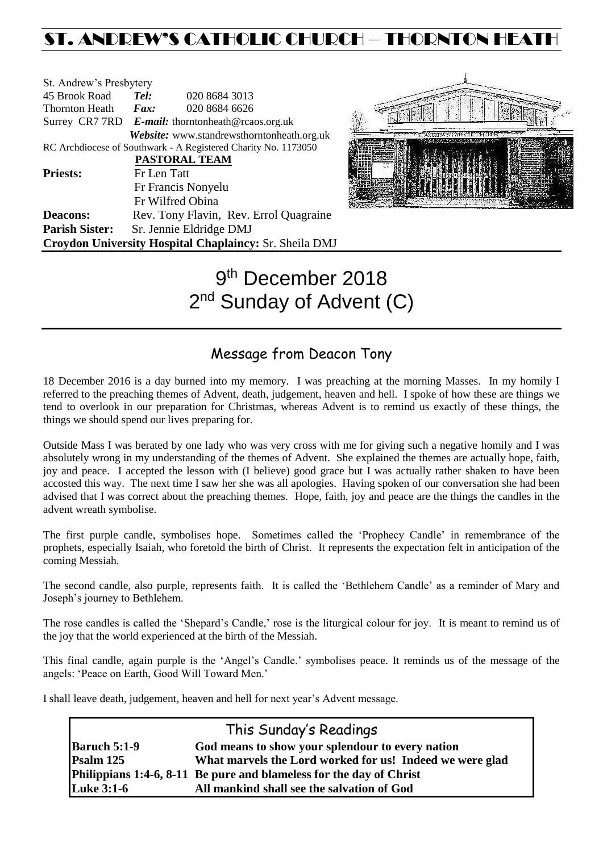## ST. ANDREW'S CATHOLIC CHURCH – THORNTON HEAT

| St. Andrew's Presbytery |                                                   |                                                                |  |  |
|-------------------------|---------------------------------------------------|----------------------------------------------------------------|--|--|
| 45 Brook Road           | Tel:                                              | 020 8684 3013                                                  |  |  |
| <b>Thornton Heath</b>   | Fax:                                              | 020 8684 6626                                                  |  |  |
|                         | Surrey CR7 7RD E-mail: thorntonheath@rcaos.org.uk |                                                                |  |  |
|                         |                                                   | Website: www.standrewsthorntonheath.org.uk                     |  |  |
|                         |                                                   | RC Archdiocese of Southwark - A Registered Charity No. 1173050 |  |  |
|                         |                                                   | PASTORAL TEAM                                                  |  |  |
| <b>Priests:</b>         | Fr Len Tatt                                       |                                                                |  |  |
|                         |                                                   | Fr Francis Nonyelu                                             |  |  |
|                         |                                                   | Fr Wilfred Obina                                               |  |  |
| <b>Deacons:</b>         |                                                   | Rev. Tony Flavin, Rev. Errol Quagraine                         |  |  |
| <b>Parish Sister:</b>   |                                                   | Sr. Jennie Eldridge DMJ                                        |  |  |
|                         |                                                   | Croydon University Hospital Chaplaincy: Sr. Sheila DMJ         |  |  |



# 9<sup>th</sup> December 2018 2<sup>nd</sup> Sunday of Advent (C)

### Message from Deacon Tony

18 December 2016 is a day burned into my memory. I was preaching at the morning Masses. In my homily I referred to the preaching themes of Advent, death, judgement, heaven and hell. I spoke of how these are things we tend to overlook in our preparation for Christmas, whereas Advent is to remind us exactly of these things, the things we should spend our lives preparing for.

Outside Mass I was berated by one lady who was very cross with me for giving such a negative homily and I was absolutely wrong in my understanding of the themes of Advent. She explained the themes are actually hope, faith, joy and peace. I accepted the lesson with (I believe) good grace but I was actually rather shaken to have been accosted this way. The next time I saw her she was all apologies. Having spoken of our conversation she had been advised that I was correct about the preaching themes. Hope, faith, joy and peace are the things the candles in the advent wreath symbolise.

The first purple candle, symbolises hope. Sometimes called the 'Prophecy Candle' in remembrance of the prophets, especially Isaiah, who foretold the birth of Christ. It represents the expectation felt in anticipation of the coming Messiah.

The second candle, also purple, represents faith. It is called the 'Bethlehem Candle' as a reminder of Mary and Joseph's journey to Bethlehem.

The rose candles is called the 'Shepard's Candle,' rose is the liturgical colour for joy. It is meant to remind us of the joy that the world experienced at the birth of the Messiah.

This final candle, again purple is the 'Angel's Candle.' symbolises peace. It reminds us of the message of the angels: 'Peace on Earth, Good Will Toward Men.'

I shall leave death, judgement, heaven and hell for next year's Advent message.

| This Sunday's Readings |                                                                     |  |  |  |
|------------------------|---------------------------------------------------------------------|--|--|--|
| <b>Baruch 5:1-9</b>    | God means to show your splendour to every nation                    |  |  |  |
| Psalm 125              | What marvels the Lord worked for us! Indeed we were glad            |  |  |  |
|                        | Philippians 1:4-6, 8-11 Be pure and blameless for the day of Christ |  |  |  |
| <b>Luke 3:1-6</b>      | All mankind shall see the salvation of God                          |  |  |  |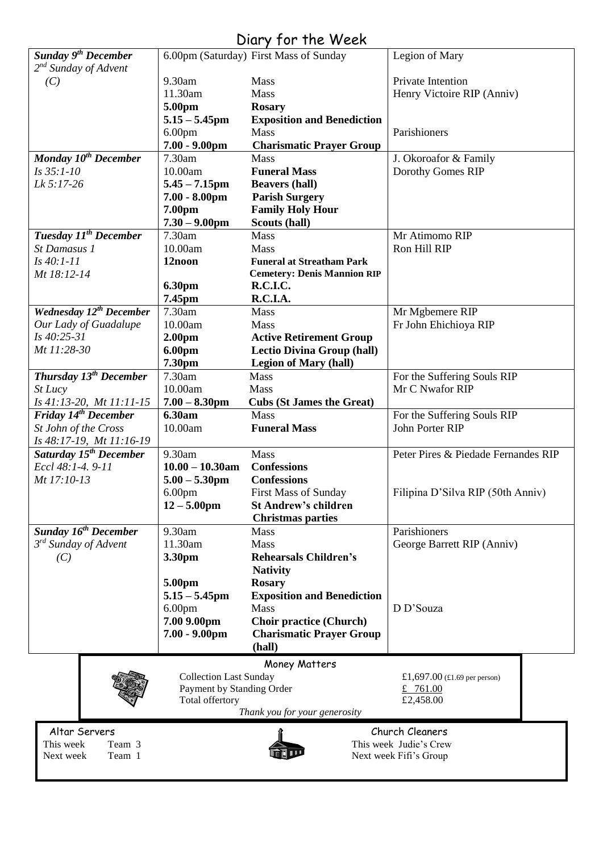### Diary for the Week

| Sunday 9 <sup>th</sup> December            |                                              | 6.00pm (Saturday) First Mass of Sunday    | Legion of Mary                                   |
|--------------------------------------------|----------------------------------------------|-------------------------------------------|--------------------------------------------------|
| 2 <sup>nd</sup> Sunday of Advent           |                                              |                                           |                                                  |
| (C)                                        | 9.30am                                       | Mass                                      | Private Intention                                |
|                                            | 11.30am                                      | Mass                                      | Henry Victoire RIP (Anniv)                       |
|                                            | 5.00pm                                       | <b>Rosary</b>                             |                                                  |
|                                            | $5.15 - 5.45$ pm                             | <b>Exposition and Benediction</b>         |                                                  |
|                                            | 6.00 <sub>pm</sub>                           | Mass                                      | Parishioners                                     |
|                                            | $7.00 - 9.00$ pm                             | <b>Charismatic Prayer Group</b>           |                                                  |
| Monday 10 <sup>th</sup> December           | 7.30am                                       | <b>Mass</b>                               | J. Okoroafor & Family                            |
| Is 35:1-10                                 | 10.00am                                      | <b>Funeral Mass</b>                       | Dorothy Gomes RIP                                |
| Lk 5:17-26                                 | $5.45 - 7.15$ pm                             | <b>Beavers (hall)</b>                     |                                                  |
|                                            | $7.00 - 8.00$ pm                             | <b>Parish Surgery</b>                     |                                                  |
|                                            | 7.00pm                                       | <b>Family Holy Hour</b>                   |                                                  |
|                                            | $7.30 - 9.00$ pm                             | Scouts (hall)                             |                                                  |
| Tuesday 11 <sup>th</sup> December          | 7.30am                                       | <b>Mass</b>                               | Mr Atimomo RIP                                   |
| St Damasus 1                               | 10.00am                                      | Mass                                      | Ron Hill RIP                                     |
| $Is 40:1-11$                               | 12noon                                       | <b>Funeral at Streatham Park</b>          |                                                  |
| Mt 18:12-14                                |                                              | <b>Cemetery: Denis Mannion RIP</b>        |                                                  |
|                                            | 6.30pm                                       | R.C.I.C.                                  |                                                  |
|                                            | 7.45pm                                       | R.C.I.A.                                  |                                                  |
| Wednesday 12 <sup>th</sup> December        | 7.30am                                       | Mass                                      | Mr Mgbemere RIP                                  |
| Our Lady of Guadalupe                      | 10.00am                                      | Mass                                      | Fr John Ehichioya RIP                            |
| Is 40:25-31                                | 2.00 <sub>pm</sub>                           | <b>Active Retirement Group</b>            |                                                  |
| Mt 11:28-30                                | 6.00pm                                       | <b>Lectio Divina Group (hall)</b>         |                                                  |
|                                            | 7.30pm                                       | <b>Legion of Mary (hall)</b>              |                                                  |
| Thursday 13 <sup>th</sup> December         | 7.30am                                       | Mass                                      | For the Suffering Souls RIP                      |
| St Lucy                                    | 10.00am                                      | Mass                                      | Mr C Nwafor RIP                                  |
| Is 41:13-20, Mt 11:11-15                   | $7.00 - 8.30$ pm                             | <b>Cubs (St James the Great)</b>          |                                                  |
|                                            |                                              |                                           |                                                  |
| Friday 14 <sup>th</sup> December           | 6.30am                                       | Mass                                      | For the Suffering Souls RIP                      |
| St John of the Cross                       | 10.00am                                      | <b>Funeral Mass</b>                       | John Porter RIP                                  |
| Is 48:17-19, Mt 11:16-19                   |                                              |                                           |                                                  |
| Saturday 15 <sup>th</sup> December         | 9.30am                                       | Mass                                      | Peter Pires & Piedade Fernandes RIP              |
| Eccl 48:1-4.9-11                           | $10.00 - 10.30$ am                           | <b>Confessions</b>                        |                                                  |
| Mt 17:10-13                                | $5.00 - 5.30$ pm                             | <b>Confessions</b>                        |                                                  |
|                                            | 6.00 <sub>pm</sub>                           | <b>First Mass of Sunday</b>               | Filipina D'Silva RIP (50th Anniv)                |
|                                            | $12 - 5.00$ pm                               | <b>St Andrew's children</b>               |                                                  |
|                                            |                                              | <b>Christmas parties</b>                  |                                                  |
| <b>Sunday 16th December</b>                | 9.30am                                       | <b>Mass</b>                               | Parishioners                                     |
| $3^{rd}$ Sunday of Advent                  | 11.30am                                      | Mass                                      | George Barrett RIP (Anniv)                       |
| (C)                                        | 3.30pm                                       | <b>Rehearsals Children's</b>              |                                                  |
|                                            |                                              | <b>Nativity</b>                           |                                                  |
|                                            | 5.00pm                                       | <b>Rosary</b>                             |                                                  |
|                                            | $5.15 - 5.45$ pm                             | <b>Exposition and Benediction</b>         |                                                  |
|                                            | 6.00 <sub>pm</sub>                           | <b>Mass</b>                               | D D'Souza                                        |
|                                            | 7.00 9.00pm                                  | <b>Choir practice (Church)</b>            |                                                  |
|                                            | $7.00 - 9.00$ pm                             | <b>Charismatic Prayer Group</b><br>(hall) |                                                  |
|                                            |                                              |                                           |                                                  |
|                                            |                                              | Money Matters                             |                                                  |
|                                            | <b>Collection Last Sunday</b>                |                                           | £1,697.00 (£1.69 per person)                     |
|                                            | Payment by Standing Order<br>Total offertory |                                           | £ 761.00<br>£2,458.00                            |
|                                            |                                              | Thank you for your generosity             |                                                  |
|                                            |                                              |                                           |                                                  |
| Altar Servers                              |                                              |                                           | Church Cleaners                                  |
| This week<br>Team 3<br>Next week<br>Team 1 |                                              |                                           | This week Judie's Crew<br>Next week Fifi's Group |

 $\overline{\phantom{a}}$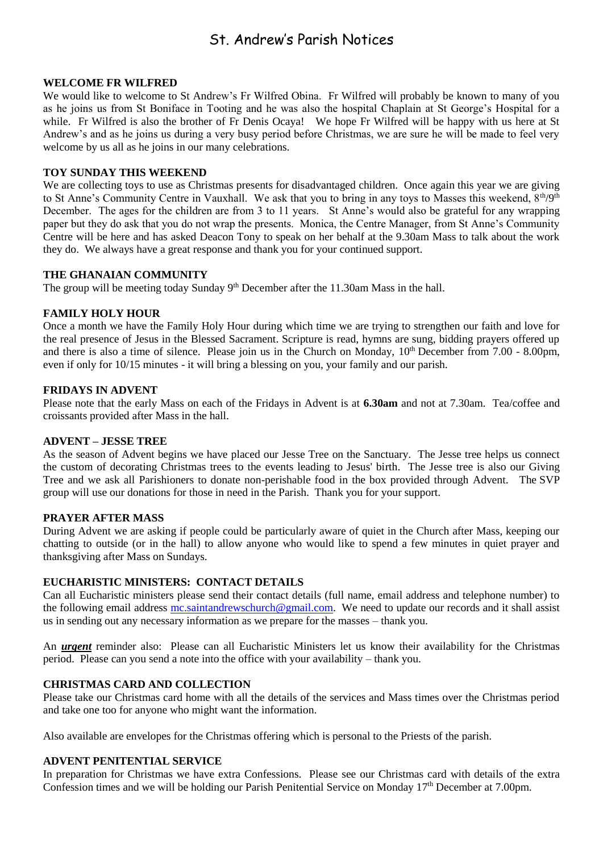### St. Andrew's Parish Notices

#### **WELCOME FR WILFRED**

We would like to welcome to St Andrew's Fr Wilfred Obina. Fr Wilfred will probably be known to many of you as he joins us from St Boniface in Tooting and he was also the hospital Chaplain at St George's Hospital for a while. Fr Wilfred is also the brother of Fr Denis Ocaya! We hope Fr Wilfred will be happy with us here at St Andrew's and as he joins us during a very busy period before Christmas, we are sure he will be made to feel very welcome by us all as he joins in our many celebrations.

#### **TOY SUNDAY THIS WEEKEND**

We are collecting toys to use as Christmas presents for disadvantaged children. Once again this year we are giving to St Anne's Community Centre in Vauxhall. We ask that you to bring in any toys to Masses this weekend,  $8<sup>th</sup>/9<sup>th</sup>$ December. The ages for the children are from 3 to 11 years. St Anne's would also be grateful for any wrapping paper but they do ask that you do not wrap the presents. Monica, the Centre Manager, from St Anne's Community Centre will be here and has asked Deacon Tony to speak on her behalf at the 9.30am Mass to talk about the work they do. We always have a great response and thank you for your continued support.

#### **THE GHANAIAN COMMUNITY**

The group will be meeting today Sunday  $9<sup>th</sup>$  December after the 11.30am Mass in the hall.

#### **FAMILY HOLY HOUR**

Once a month we have the Family Holy Hour during which time we are trying to strengthen our faith and love for the real presence of Jesus in the Blessed Sacrament. Scripture is read, hymns are sung, bidding prayers offered up and there is also a time of silence. Please join us in the Church on Monday,  $10^{th}$  December from 7.00 - 8.00pm, even if only for 10/15 minutes - it will bring a blessing on you, your family and our parish.

#### **FRIDAYS IN ADVENT**

Please note that the early Mass on each of the Fridays in Advent is at **6.30am** and not at 7.30am. Tea/coffee and croissants provided after Mass in the hall.

#### **ADVENT – JESSE TREE**

As the season of Advent begins we have placed our Jesse Tree on the Sanctuary. The Jesse tree helps us connect the custom of decorating Christmas trees to the events leading to Jesus' birth. The Jesse tree is also our Giving Tree and we ask all Parishioners to donate non-perishable food in the box provided through Advent. The SVP group will use our donations for those in need in the Parish. Thank you for your support.

#### **PRAYER AFTER MASS**

During Advent we are asking if people could be particularly aware of quiet in the Church after Mass, keeping our chatting to outside (or in the hall) to allow anyone who would like to spend a few minutes in quiet prayer and thanksgiving after Mass on Sundays.

#### **EUCHARISTIC MINISTERS: CONTACT DETAILS**

Can all Eucharistic ministers please send their contact details (full name, email address and telephone number) to the following email address [mc.saintandrewschurch@gmail.com.](mailto:mc.saintandrewschurch@gmail.com) We need to update our records and it shall assist us in sending out any necessary information as we prepare for the masses – thank you.

An *urgent* reminder also: Please can all Eucharistic Ministers let us know their availability for the Christmas period. Please can you send a note into the office with your availability – thank you.

#### **CHRISTMAS CARD AND COLLECTION**

Please take our Christmas card home with all the details of the services and Mass times over the Christmas period and take one too for anyone who might want the information.

Also available are envelopes for the Christmas offering which is personal to the Priests of the parish.

#### **ADVENT PENITENTIAL SERVICE**

In preparation for Christmas we have extra Confessions. Please see our Christmas card with details of the extra Confession times and we will be holding our Parish Penitential Service on Monday 17th December at 7.00pm.